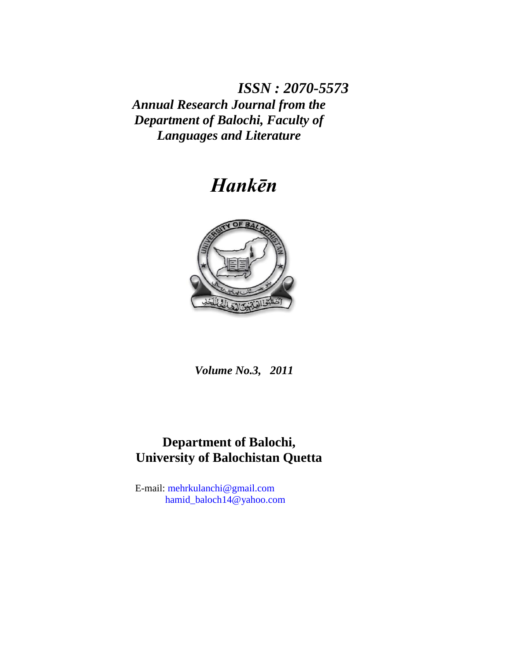*ISSN : 2070-5573 Annual Research Journal from the Department of Balochi, Faculty of Languages and Literature*

# *Hankēn*



*Volume No.3, 2011*

## **Department of Balochi, University of Balochistan Quetta**

E-mail: [mehrkulanchi@gmail.com](mailto:mehrkulanchi@gmail.com) [hamid\\_baloch14@yahoo.com](mailto:hamid_baloch14@yahoo.com)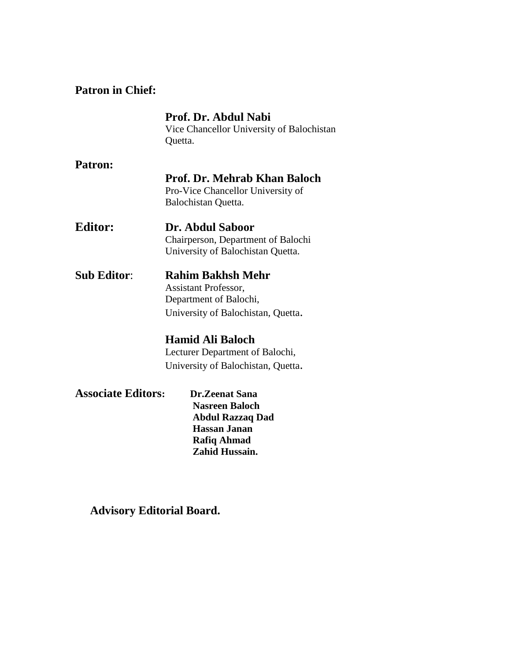## **Patron in Chief:**

|                           | Prof. Dr. Abdul Nabi<br>Vice Chancellor University of Balochistan |
|---------------------------|-------------------------------------------------------------------|
|                           | Quetta.                                                           |
| Patron:                   |                                                                   |
|                           | <b>Prof. Dr. Mehrab Khan Baloch</b>                               |
|                           | Pro-Vice Chancellor University of                                 |
|                           | Balochistan Quetta.                                               |
| <b>Editor:</b>            | Dr. Abdul Saboor                                                  |
|                           | Chairperson, Department of Balochi                                |
|                           | University of Balochistan Quetta.                                 |
| <b>Sub Editor:</b>        | <b>Rahim Bakhsh Mehr</b>                                          |
|                           | <b>Assistant Professor,</b>                                       |
|                           | Department of Balochi,                                            |
|                           | University of Balochistan, Quetta.                                |
|                           | <b>Hamid Ali Baloch</b>                                           |
|                           | Lecturer Department of Balochi,                                   |
|                           | University of Balochistan, Quetta.                                |
| <b>Associate Editors:</b> | <b>Dr.Zeenat Sana</b>                                             |
|                           | <b>Nasreen Baloch</b>                                             |
|                           | <b>Abdul Razzaq Dad</b>                                           |
|                           | <b>Hassan Janan</b>                                               |
|                           | <b>Rafiq Ahmad</b>                                                |
|                           | Zahid Hussain.                                                    |

## **Advisory Editorial Board.**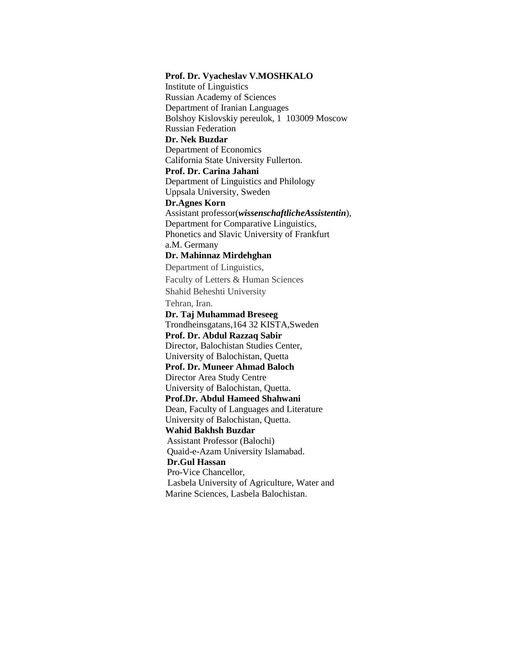**Prof. Dr. Vyacheslav V.MOSHKALO** Institute of Linguistics Russian Academy of Sciences Department of Iranian Languages Bolshoy Kislovskiy pereulok, 1 103009 Moscow Russian Federation **Dr. Nek Buzdar** Department of Economics California State University Fullerton. **Prof. Dr. Carina Jahani** Department of Linguistics and Philology Uppsala University, Sweden **Dr.Agnes Korn** Assistant professor(*wissenschaftlicheAssistentin*), Department for Comparative Linguistics, Phonetics and Slavic University of Frankfurt a.M. Germany **Dr. Mahinnaz Mirdehghan** Department of Linguistics, Faculty of Letters & Human Sciences Shahid Beheshti University Tehran, Iran. **Dr. Taj Muhammad Breseeg** Trondheinsgatans,164 32 KISTA,Sweden **Prof. Dr. Abdul Razzaq Sabir** Director, Balochistan Studies Center, University of Balochistan, Quetta **Prof. Dr. Muneer Ahmad Baloch** Director Area Study Centre University of Balochistan, Quetta. **Prof.Dr. Abdul Hameed Shahwani** Dean, Faculty of Languages and Literature University of Balochistan, Quetta. **Wahid Bakhsh Buzdar** Assistant Professor (Balochi) Quaid-e-Azam University Islamabad.  **Dr.Gul Hassan** Pro-Vice Chancellor, Lasbela University of Agriculture, Water and Marine Sciences, Lasbela Balochistan.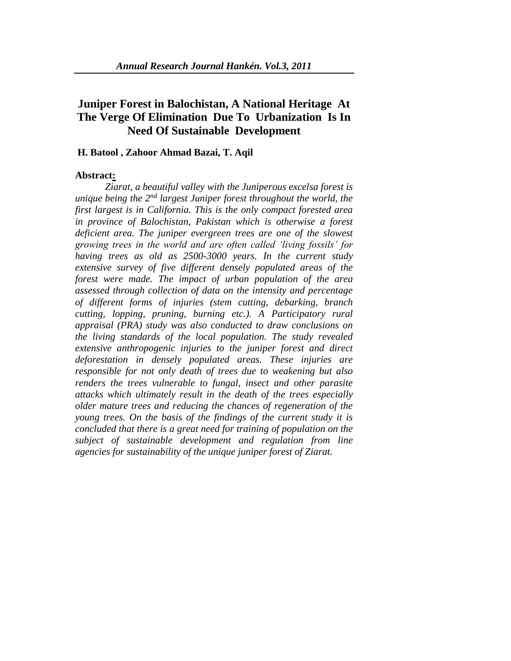## **Juniper Forest in Balochistan, A National Heritage At The Verge Of Elimination Due To Urbanization Is In Need Of Sustainable Development**

#### **H. Batool , Zahoor Ahmad Bazai, T. Aqil**

#### **Abstract:**

*Ziarat, a beautiful valley with the Juniperous excelsa forest is unique being the 2nd largest Juniper forest throughout the world, the first largest is in California. This is the only compact forested area in province of Balochistan, Pakistan which is otherwise a forest deficient area. The juniper evergreen trees are one of the slowest growing trees in the world and are often called 'living fossils' for having trees as old as 2500-3000 years. In the current study extensive survey of five different densely populated areas of the forest were made. The impact of urban population of the area assessed through collection of data on the intensity and percentage of different forms of injuries (stem cutting, debarking, branch cutting, lopping, pruning, burning etc.). A Participatory rural appraisal (PRA) study was also conducted to draw conclusions on the living standards of the local population. The study revealed extensive anthropogenic injuries to the juniper forest and direct deforestation in densely populated areas. These injuries are responsible for not only death of trees due to weakening but also renders the trees vulnerable to fungal, insect and other parasite attacks which ultimately result in the death of the trees especially older mature trees and reducing the chances of regeneration of the young trees. On the basis of the findings of the current study it is concluded that there is a great need for training of population on the subject of sustainable development and regulation from line agencies for sustainability of the unique juniper forest of Ziarat.*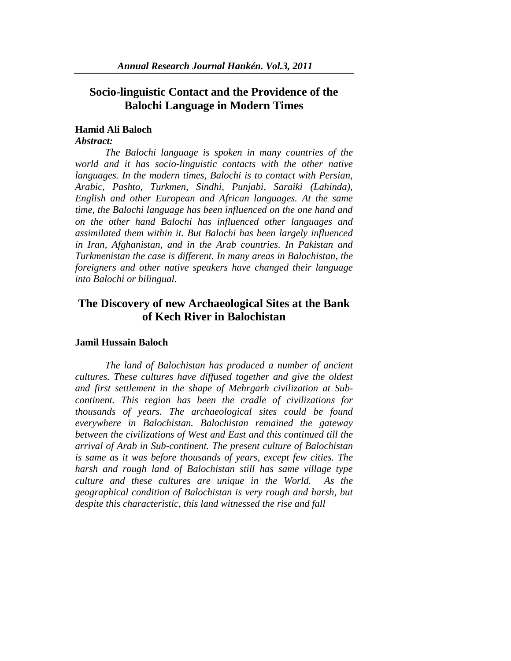### **Socio-linguistic Contact and the Providence of the Balochi Language in Modern Times**

#### **Hamid Ali Baloch**

#### *Abstract:*

*The Balochi language is spoken in many countries of the world and it has socio-linguistic contacts with the other native languages. In the modern times, Balochi is to contact with Persian, Arabic, Pashto, Turkmen, Sindhi, Punjabi, Saraiki (Lahinda), English and other European and African languages. At the same time, the Balochi language has been influenced on the one hand and on the other hand Balochi has influenced other languages and assimilated them within it. But Balochi has been largely influenced in Iran, Afghanistan, and in the Arab countries. In Pakistan and Turkmenistan the case is different. In many areas in Balochistan, the foreigners and other native speakers have changed their language into Balochi or bilingual.*

### **The Discovery of new Archaeological Sites at the Bank of Kech River in Balochistan**

#### **Jamil Hussain Baloch**

*The land of Balochistan has produced a number of ancient cultures. These cultures have diffused together and give the oldest and first settlement in the shape of Mehrgarh civilization at Subcontinent. This region has been the cradle of civilizations for thousands of years. The archaeological sites could be found everywhere in Balochistan. Balochistan remained the gateway between the civilizations of West and East and this continued till the arrival of Arab in Sub-continent. The present culture of Balochistan is same as it was before thousands of years, except few cities. The harsh and rough land of Balochistan still has same village type culture and these cultures are unique in the World. As the geographical condition of Balochistan is very rough and harsh, but despite this characteristic, this land witnessed the rise and fall*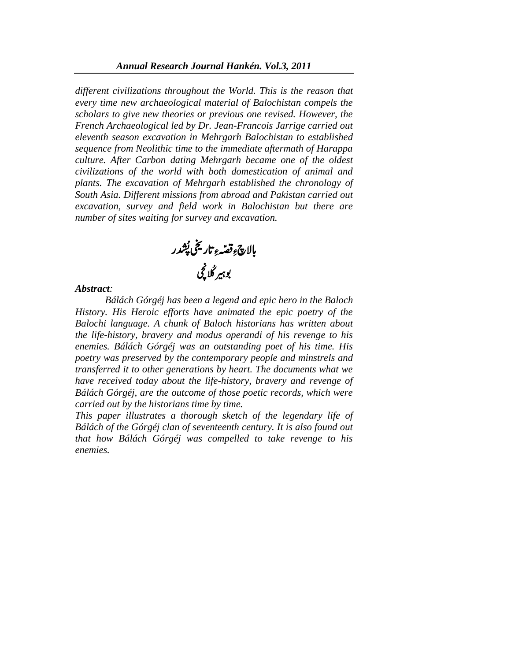*different civilizations throughout the World. This is the reason that every time new archaeological material of Balochistan compels the scholars to give new theories or previous one revised. However, the French Archaeological led by Dr. Jean-Francois Jarrige carried out eleventh season excavation in Mehrgarh Balochistan to established sequence from Neolithic time to the immediate aftermath of Harappa culture. After Carbon dating Mehrgarh became one of the oldest civilizations of the world with both domestication of animal and plants. The excavation of Mehrgarh established the chronology of South Asia. Different missions from abroad and Pakistan carried out excavation, survey and field work in Balochistan but there are number of sites waiting for survey and excavation.*

بالاچ وِقصّہءِ تاریخی پُشدر ش بالاچ ً وقصّہ ءِ تاریخی پُشد بوہیر گلا کچی

#### *Abstract:*

*Bálách Górgéj has been a legend and epic hero in the Baloch History. His Heroic efforts have animated the epic poetry of the Balochi language. A chunk of Baloch historians has written about the life-history, bravery and modus operandi of his revenge to his enemies. Bálách Górgéj was an outstanding poet of his time. His poetry was preserved by the contemporary people and minstrels and transferred it to other generations by heart. The documents what we have received today about the life-history, bravery and revenge of Bálách Górgéj, are the outcome of those poetic records, which were carried out by the historians time by time.*

*This paper illustrates a thorough sketch of the legendary life of Bálách of the Górgéj clan of seventeenth century. It is also found out that how Bálách Górgéj was compelled to take revenge to his enemies.*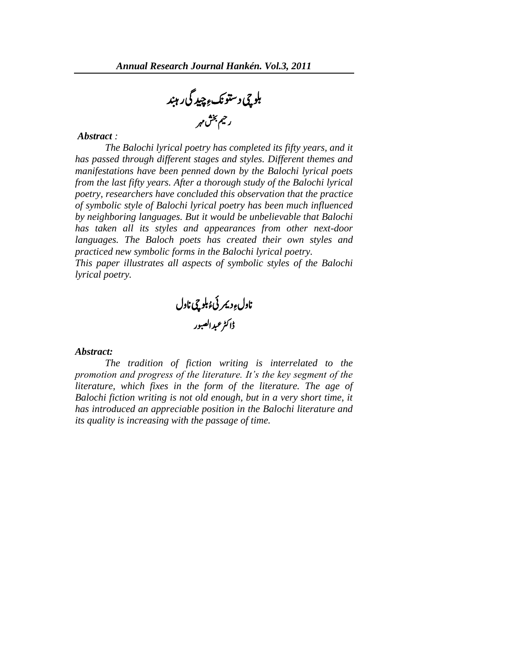ببلوچی دستونکءِ چِید گی رہند رمیح شخب رہم

#### *Abstract :*

*The Balochi lyrical poetry has completed its fifty years, and it has passed through different stages and styles. Different themes and manifestations have been penned down by the Balochi lyrical poets from the last fifty years. After a thorough study of the Balochi lyrical poetry, researchers have concluded this observation that the practice of symbolic style of Balochi lyrical poetry has been much influenced by neighboring languages. But it would be unbelievable that Balochi has taken all its styles and appearances from other next-door languages. The Baloch poets has created their own styles and practiced new symbolic forms in the Balochi lyrical poetry.* 

*This paper illustrates all aspects of symbolic styles of the Balochi lyrical poetry.* 

ناول <sub>ع</sub>ِ دیمر ئیءُ بلوچی ناول </sub>ُ<br>و ڈاکٹر عبدالصبور

#### *Abstract:*

*The tradition of fiction writing is interrelated to the promotion and progress of the literature. It's the key segment of the literature, which fixes in the form of the literature. The age of Balochi fiction writing is not old enough, but in a very short time, it has introduced an appreciable position in the Balochi literature and its quality is increasing with the passage of time.*